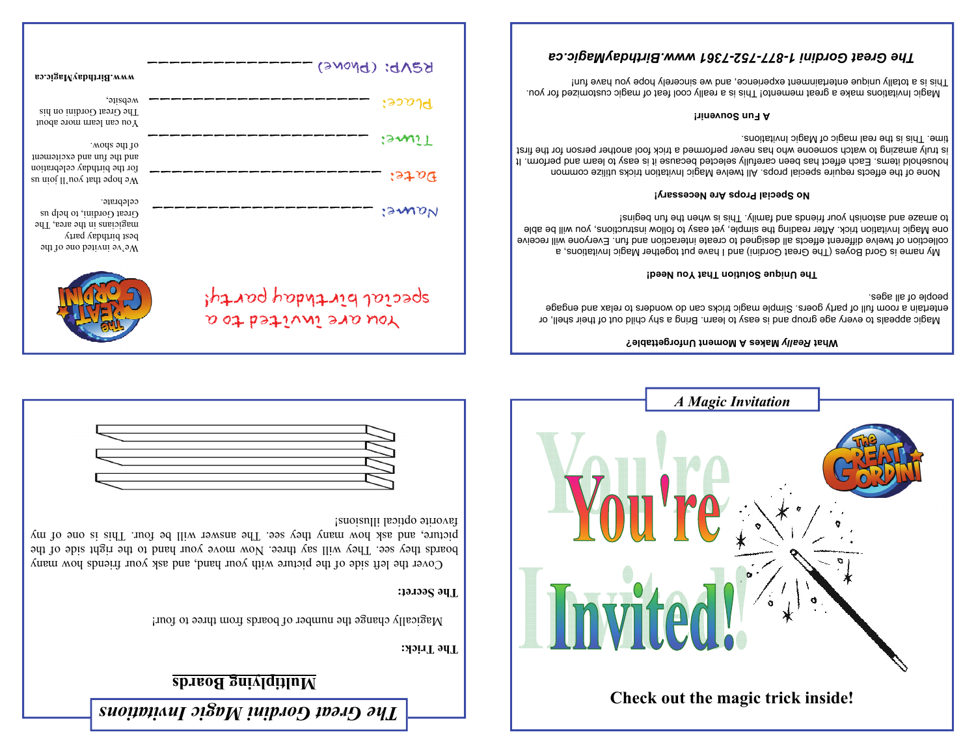# **Multiplying Boards**

**The Trick:** 

Magically change the number of boards from three to four!

You are invited to a

## **The Secret:**

 Cover the left side of the picture with your hand, and ask your friends how many boards they see. They will say three. Now move your hand to the right side of the picture, and ask how many they see. The answer will be four. This is one of my favorite optical illusions!







Magic appeals to every age group and is easy to learn. Bring a shy child out of their shell, or entertain a room full of party goers. Simple magic tricks can do wonders to relax and engage people of all ages.

### **The Unique Solution That You Need!**

 My name is Gord Boyes (The Great Gordini) and I have put together Magic Invitations, a collection of twelve bethand and functional or the reste interaction and fun. Everyone will receive one Magic Invitation trick. After reading the simple, yet easy to follow instructions, you will be able to amaze and astonish your friends and taming and is used in paginal

### **No Special Props Are Necessary!**

 None of the effects require special props. All twelve Magic Invitation tricks utilize common household items Each effect has deen carefully selected because it is easy to learn and perform. It is truly end too has never performed a trick for the fool and the form in the first is trick for the first is t angic 11 and agic of Magic Invitations.

#### **A Fun Souvenir!**

Adagic lusticous make a great memento This is a really cool feat of magic customized for you. This is a totally unique entertainment experience, and we sincerely hope you have fun!

| so.oigaMyabdriid.www                                                                                                                  | REVP: (Phone)           |
|---------------------------------------------------------------------------------------------------------------------------------------|-------------------------|
| website,<br>The Great Gordini on his<br>You can learn more about                                                                      | :२१०१त                  |
| .wods 5dj 10<br>and the fun and excitement                                                                                            | isawiT                  |
| for the birthday celebration<br>su nioi II noy tsid 900 aW                                                                            | : 37.09                 |
| celebrate.<br>Great Gordini, to help us<br>magicians in the area, The<br>best birthday party<br>$\mathcal{M}$ e ve invited one of the | <i>'smon</i>            |
|                                                                                                                                       | special birthday party! |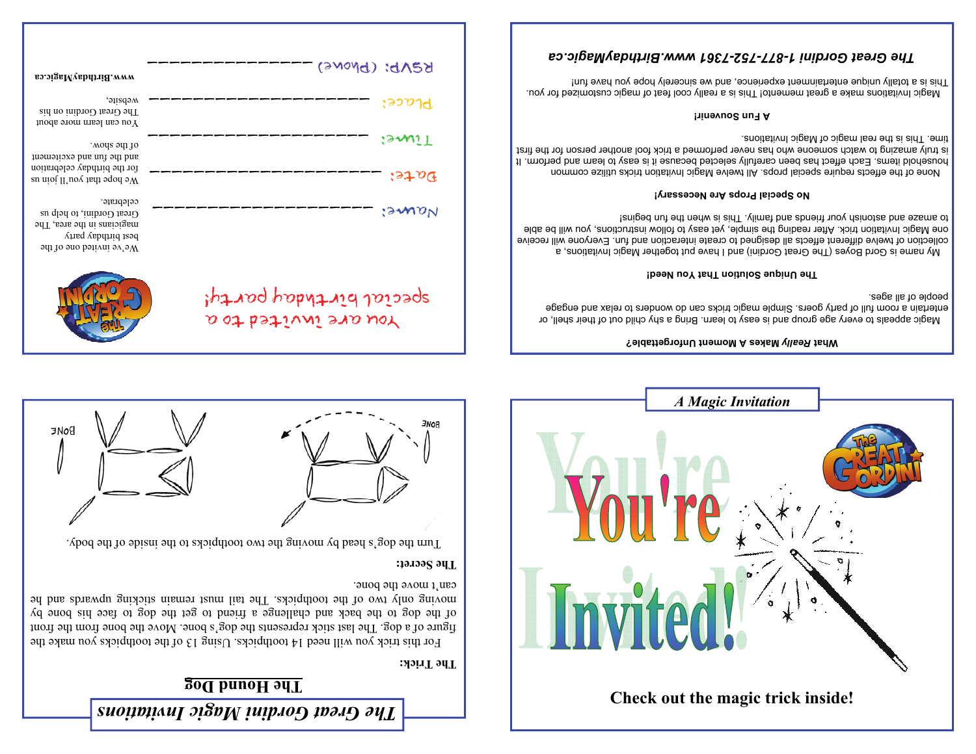# **The Hound Dog**

## **The Trick:**

For this trick you will need  $14$  toothpicks. Using 13 of the toothpicks you make the figure of a dog. The last stick represents the dog's bone. Move the bone from the front of the dog to the back and challenge a friend to get the dog to face his bone by moving only two of the toothpicks and list of the tail must remain and he said the tail must be tail with the t can't move the bone.

## **The Secret:**

Turn the dog's head by moving the two toothpicks of the inside of the body.







## **Makes A Moment Unforgettable?** *Really* **What**

Magic appeals to every age group and is easy to learn. Bring a shy child out of their shell, or entertain a mom full of party goers. Simple magic tricks can do wonders to relax and engage people of all ages.

## **The Unique Solution That You Need!**

 My name is Gord Boyes (The Great Gordini) and I have put together Magic Invitations, a collection of twelve different ethe abli designed to create interaction and fun. Everyone will receive one Magic Invitation trick. After reading the simple, yet easy to follow instructions, you will be able to amaze and astonish your friends and taming and is used in paginal

## **No Special Props Are Necessary!**

 None of the effects require special props. All twelve Magic Invitation tricks utilize common household items Each effect has deen carefully selected because it is easy to learn and perform. It is truly end too has never performed a trick for the fool and the form in the first is trick for the first is t angic 11 and agic of Magic Invitations.

## **A Fun Souvenir!**

Adagic lusticous make a great memento This is a really cool feat of magic customized for you. This is a totally unique entertainment experience, and we sincerely hope you have fun!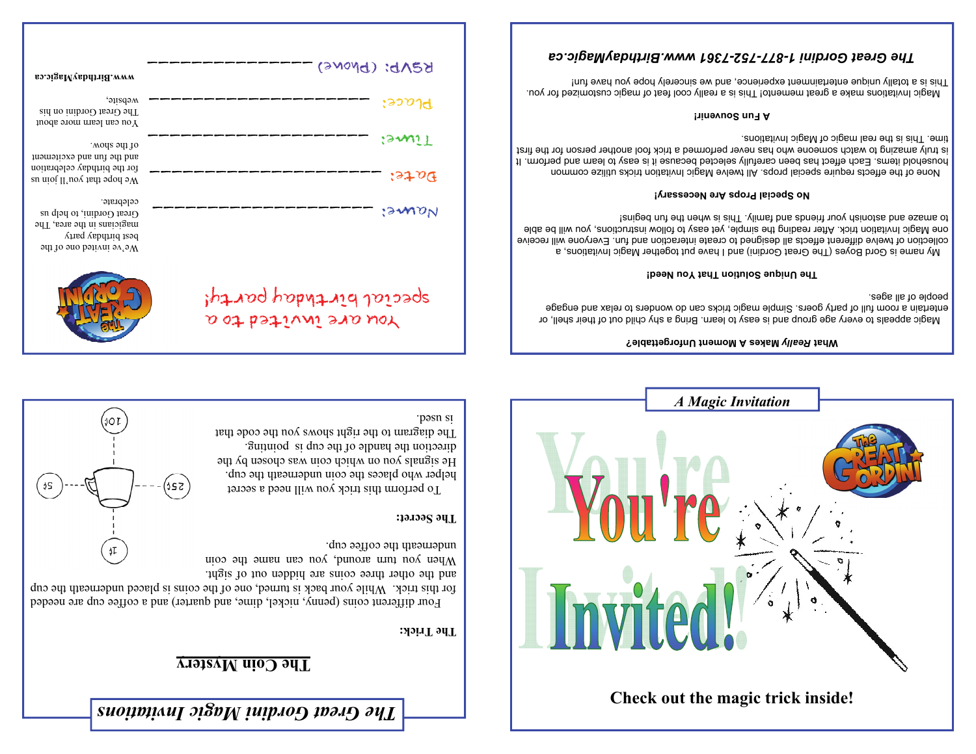# **The Coin Mystery**

## **The Trick:**

 Four different coins (penny, nickel, dime, and quarter) and a coffee cup are needed for the strick. While your back is funned, one of the coins is placed underneath the cup

 $52c$ 

¢T

¢۶

and the other three coins are hidden out of sight. When you turn around, you can usual and coin underneath the coffee cup.

## **The Secret:**

To perform this trick you will need a secret helper who places the coin underneath the cup.  $\mathcal{L}$  and  $\mathcal{L}$  are signals with the set of  $\mathcal{L}$  and  $\mathcal{L}$  are  $\mathcal{L}$  is the set of  $\mathcal{L}$  and  $\mathcal{L}$  are set of  $\mathcal{L}$  and  $\mathcal{L}$  are set of  $\mathcal{L}$  and  $\mathcal{L}$  are set of  $\mathcal{L}$  and  $\mathcal{L}$  a direction the handle of the cup is pointing. The diagram to the right shows you the code that pasn st



### **Makes A Moment Unforgettable?** *Really* **What**

Magic appeals to every age group and is easy to learn. Bring a shy child out of their shell, or entertain a room full of party goers. Simple magic tricks can do wonders to relax and engage people of all ages.

#### **The Unique Solution That You Need!**

 My name is Gord Boyes (The Great Gordini) and I have put together Magic Invitations, a collection of twelve different ethe abli designed to create interaction and fun. Everyone will receive one Magic Invitation trick. After reading the simple, yet easy to follow instructions, you will be able to amaze and astonish your friends and thus is when the fund begins is and fund as

### **No Special Props Are Necessary!**

 None of the effects require special props. All twelve Magic Invitation tricks utilize common household items Each effect has deen carefully selected because it is easy to learn and perform. It is truly end too has never performed a trick for the fool and the form in the first is trick for the first is t angic 11 and agic of Magic Invitations.

#### **A Fun Souvenir!**

Adagic lusticous make a great memento This is a really cool feat of magic customized for you. This is a totally unique entertainment experience, and we sincerely hope you have fun!

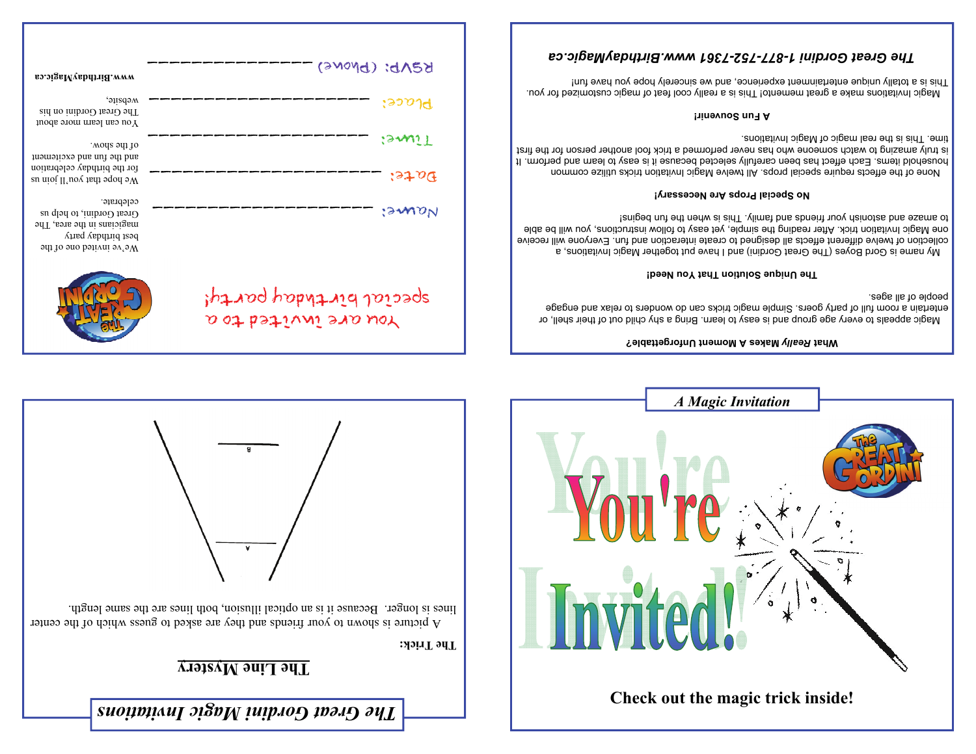# **The Line Mystery**

**The Trick:** 

A picture is shown to your friends and they are asked to guess which of the center lines is longer. Because it is an optical illusion, both lines are the same length.





| вэ.эізвМувbптій. www                                                                                                                                   | REND: (Phone)                                   |
|--------------------------------------------------------------------------------------------------------------------------------------------------------|-------------------------------------------------|
| website,<br>The Great Gordini on his<br>You can learn more about                                                                                       | $:$ રુગ્ $\gamma$ તુ                            |
| .wone show.<br>and the fun and excitement<br>for the birthday celebration                                                                              | :GWN11<br>3706                                  |
| su nioi II noy tsid 900 aW<br>celebrate.<br>Great Gordini, to help us<br>magicians in the area, The<br>best birthday party<br>We've invited one of the | :GWON                                           |
|                                                                                                                                                        | special birthday party!<br>Nou are invited to a |

### **Makes A Moment Unforgettable?** *Really* **What**

Magic appeals to every age group and is easy to learn. Bring a shy child out of their shell, or entertain a room full of party goers. Simple magic tricks can do wonders to relax and engage people of all ages.

### **The Unique Solution That You Need!**

 My name is Gord Boyes (The Great Gordini) and I have put together Magic Invitations, a collection of twelve different and seigned to create interaction and fun. Everyone will receive one Magic Invitation trick. After reading the simple, yet easy to follow instructions, you will be able teniged nut ent nedw ai aidT . vlimst bns abneitt nuov dainotas bns exams of

### **No Special Props Are Necessary!**

 None of the effects require special props. All twelve Magic Invitation tricks utilize common household items Each effect has deen carefully selected because it is easy to learn and perform. It is truly and not never performed a trick forms for the form for the find to watch the first is trick for the f angic 11 and agrees is the real magic of Magiority is the real manifology in the real magnetic magnetic magnet

#### **A Fun Souvenir!**

Adagic lusticous make a great memento This is a really cool feat of magic customized for you. This is a totally unique entertainment experience, and we sincerely hope you have fun!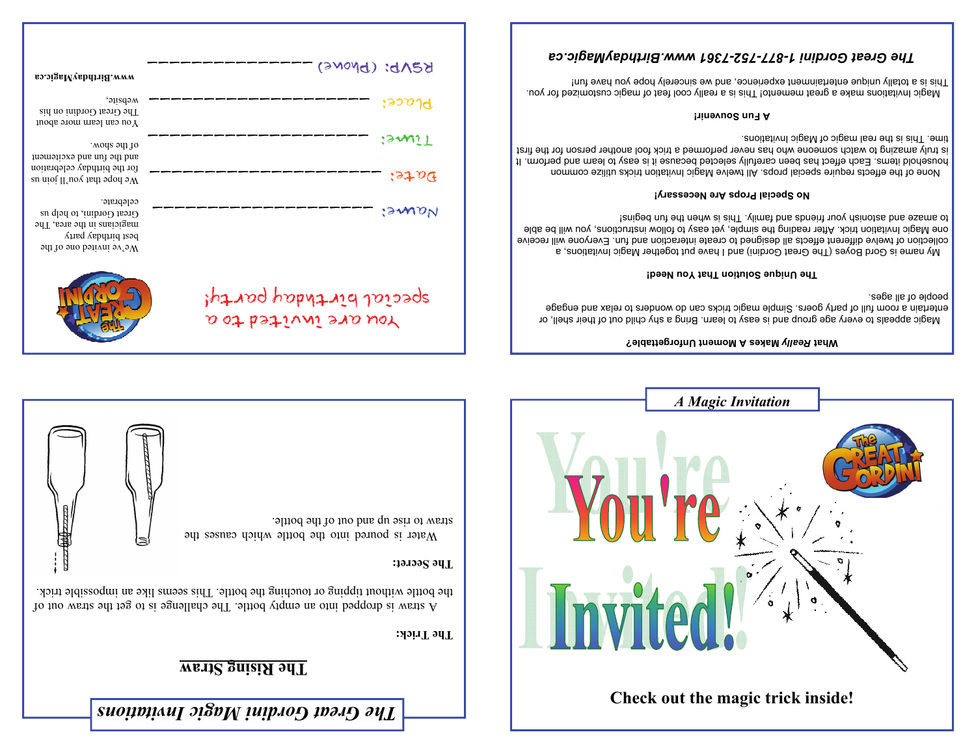# **The Rising Straw**

**The Trick:** 

A straw is dropped into an empty bottle into  $\alpha$  and  $\alpha$  is the straight into the straight in straight in straight in the straight in the straight in the straight in the straight in the straight in the straight in the s the bottle without tipping or touching the bottle. This areas like an impossible trick.

**The Secret:** 

Water is poured into the bottle which causes the straw to rise up and out of the bottle.





### **Makes A Moment Unforgettable?** *Really* **What**

Magic appeals to every age group and is easy to learn. Bring a shy child out of their shell, or entertain a room full of party goers. Simple magic tricks can do wonders to relax and engage people of all ages.

#### **The Unique Solution That You Need!**

 My name is Gord Boyes (The Great Gordini) and I have put together Magic Invitations, a collection of twelve bethand and functional or the reste interaction and fun. Everyone will receive one Magic Invitation trick. After reading the simple, yet easy to follow instructions, you will be able to amaze and astonish your friends and taming and is used in paginal

### **No Special Props Are Necessary!**

 None of the effects require special props. All twelve Magic Invitation tricks utilize common household items Each effect has deen carefully selected because it is easy to learn and perform. It is truly end too has never performed a trick for the fool and the form in the first is trick for the first is t angic 11 and agic of Magic Invitations.

#### **A Fun Souvenir!**

Adagic lusticous make a great memento This is a really cool feat of magic customized for you. This is a totally unique entertainment experience, and we sincerely hope you have fun!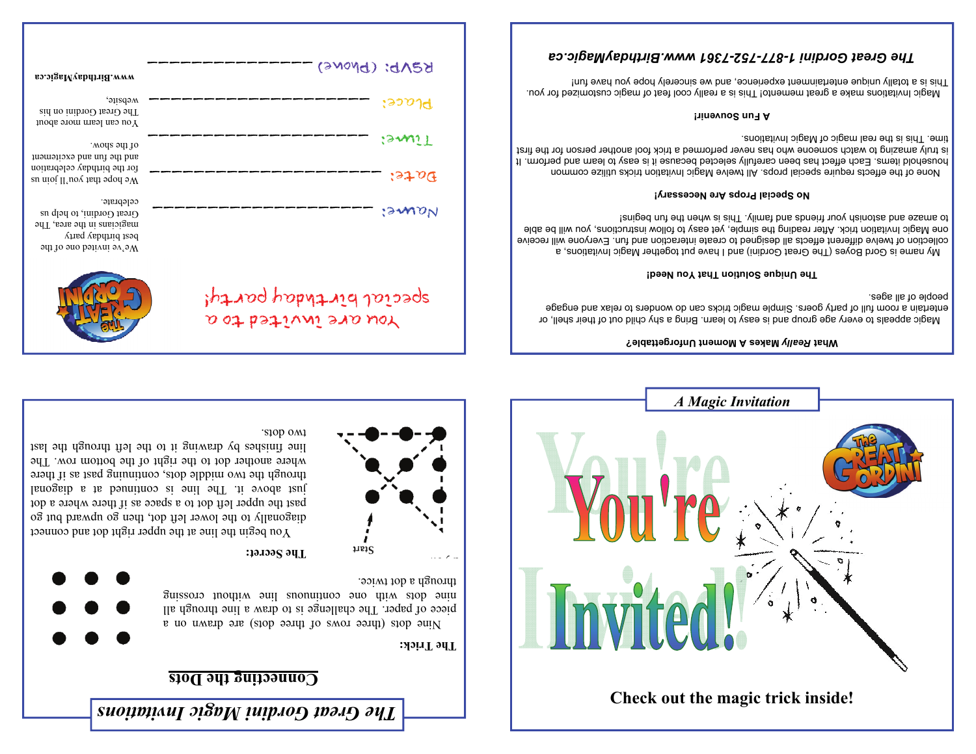## **Connecting the Dots**





Nine dots (three rows of three dots) are drawn on a piece of paper. The challenge is to draw a line through all anisso inoutive and continuous and the stop and the stop continuous summer through a dot twice.

## **The Secret:**

You are invited to a

You begin the line at the nedget right dot and connect diagonally to the lower left dot, then go upward but go past the upper left dot to a space as if there where a dot just above it. The line is continued at a diagonal through the two middle dots, continuing past as if there where another dot to the right of the bottom row. The line finishes by drawing it to the left through the last two dots.





## **Makes A Moment Unforgettable?** *Really* **What**

Magic appeals to every age group and is easy to learn. Bring a shy child out of their shell, or entertain a mom full of party goers. Simple magic tricks can do wonders to relax and engage people of all ages.

#### **The Unique Solution That You Need!**

 My name is Gord Boyes (The Great Gordini) and I have put together Magic Invitations, a collection of twelve bethand and functional or the reste interaction and fun. Everyone will receive one Magic Invitation trick. After reading the simple, yet easy to follow instructions, you will be able to amaze and astonish your friends and taming and is used in paginal

### **No Special Props Are Necessary!**

 None of the effects require special props. All twelve Magic Invitation tricks utilize common household items Each effect has deen carefully selected because it is easy to learn and perform. It is truly end too has never performed a trick for the fool and the form in the first is trick for the first is t angic This is the real magic of Magic Invitations.

#### **A Fun Souvenir!**

A really constant of each memento in this is a really cool feat of magic customisation you. This is a totally unique entertainment experience, and we sincerely hope you have fun!

| вэ.эізвМувьитіЯ. www                                                                                                                  | REND: (DNONE)           |
|---------------------------------------------------------------------------------------------------------------------------------------|-------------------------|
| website,<br>The Great Gordini on his<br>You can learn more about                                                                      | :२२०१त                  |
| .wods 5dj 10<br>and the fun and excitement                                                                                            | isawi T                 |
| for the birthday celebration<br>su nioi II 'noy tsifi sqod sW                                                                         | $i$ st o $\Phi$         |
| celebrate.<br>Great Gordini, to help us<br>magicians in the area, The<br>best birthday party<br>$\mathcal{M}$ e've invited one of the | :GWON                   |
|                                                                                                                                       | special birthday party! |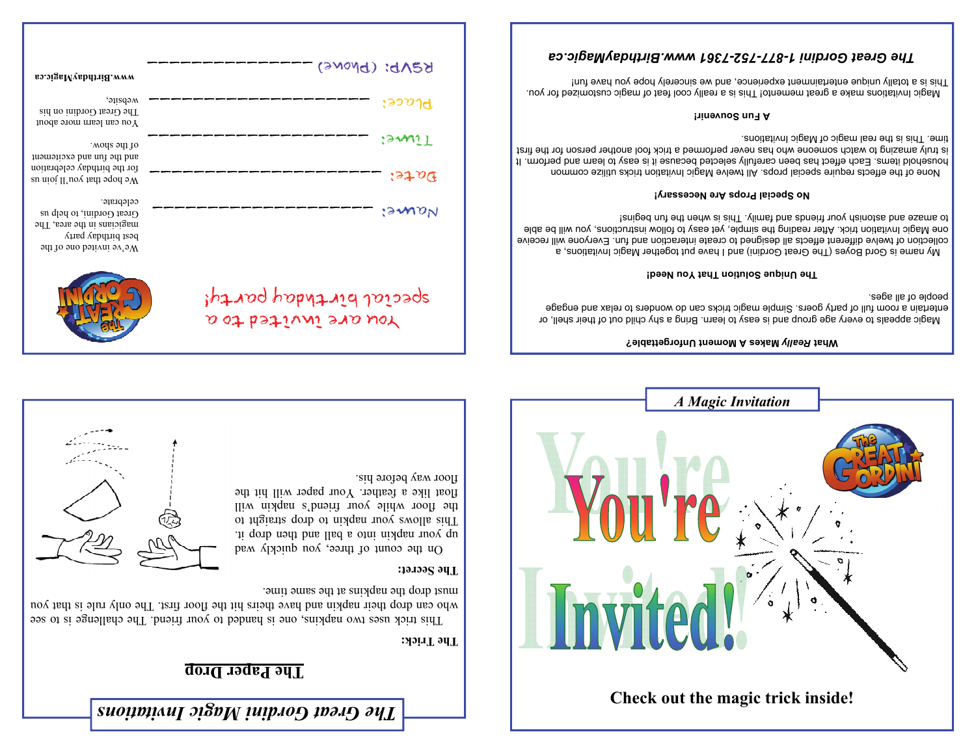# **The Paper Drop**

## **The Trick:**

This trick uses two napkins, one is handed to your friend in the challenge is to see who can drop their napkin and have theirs hit the floor first. The only rule is that you must drop the napkins at the same time.

## **The Secret:**

On the count of three, you quickly wad up your napkin into a ball and then drop it. This allows your napkin to drop straight to the floor while your friend's napkin will float like a feather. Your paper will hit the floor way before his.





### **Makes A Moment Unforgettable?** *Really* **What**

Magic appeals to every age group and is easy to learn. Bring a shy child out of their shell, or entertain a room full of party goers. Simple magic tricks can do wonders to relax and engage people of all ages.

#### **The Unique Solution That You Need!**

 My name is Gord Boyes (The Great Gordini) and I have put together Magic Invitations, a collection of twelve different ethe abli designed to create interaction and fun. Everyone will receive one Magic Invitation trick. After reading the simple, yet easy to follow instructions, you will be able to amaze and astonish your friends and thus is when the fund begins is and fund as

### **No Special Props Are Necessary!**

 None of the effects require special props. All twelve Magic Invitation tricks utilize common household items Each effect has deen carefully selected because it is easy to learn and perform. It is truly end too has never performed a trick for the fool and the form in the first is trick for the first is t angic 11 and agic of Magic Invitations.

#### **A Fun Souvenir!**

Adagic lusticous make a great memento This is a really cool feat of magic customized for you. This is a totally unique entertainment experience, and we sincerely hope you have fun!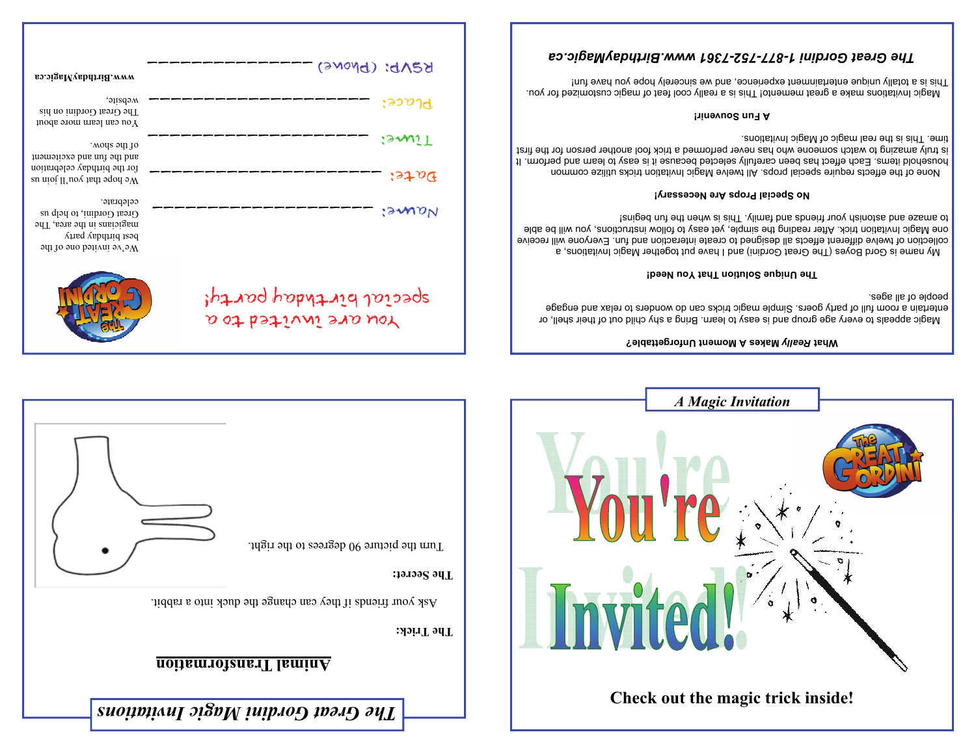

| вэ.эізвМувbdrii&,www                                                                                                     | REND: (Phone)                                   |
|--------------------------------------------------------------------------------------------------------------------------|-------------------------------------------------|
| website,<br>The Great Gordini on his<br>You can learn more about                                                         | :२२०१त                                          |
| .wone show.<br>and the fun and excitement                                                                                | (3401)                                          |
| for the birthday celebration<br>su nioi II noy tsid 900 aW                                                               | 5970G                                           |
| celebrate.<br>Great Gordini, to help us<br>magicians in the area, The<br>best burthday party<br>We've invited one of the | :GWON                                           |
|                                                                                                                          | special birthday party!<br>You are invited to a |

## **Makes A Moment Unforgettable?** *Really* **What**

Magic appeals to every age group and is easy to learn. Bring a shy child out of their shell, or entertain a room full of party goers. Simple magic tricks can do wonders to relax and engage people of all ages.

#### **The Unique Solution That You Need!**

 My name is Gord Boyes (The Great Gordini) and I have put together Magic Invitations, a collection of twelve different and seigned to create interaction and fun. Everyone will receive one Magic Invitation trick. After reading the simple, yet easy to follow instructions, you will be able teniged nut ent nedw ai aidT . vlimst bns abneitt nuov dainotas bns exams of

### **No Special Props Are Necessary!**

 None of the effects require special props. All twelve Magic Invitation tricks utilize common household items Each effect has deen carefully selected because it is easy to learn and perform. It is truly end too has never performed a trick for the fool and the form in the first is trick for the first is t angic 11 and agrees is the real magic of Magiority is the real manifology in the real magnetic magnetic magnet

### **A Fun Souvenir!**

Adagic lusticous make a great memento This is a really cool feat of magic customized for you. This is a totally unique entertainment experience, and we sincerely hope you have fun!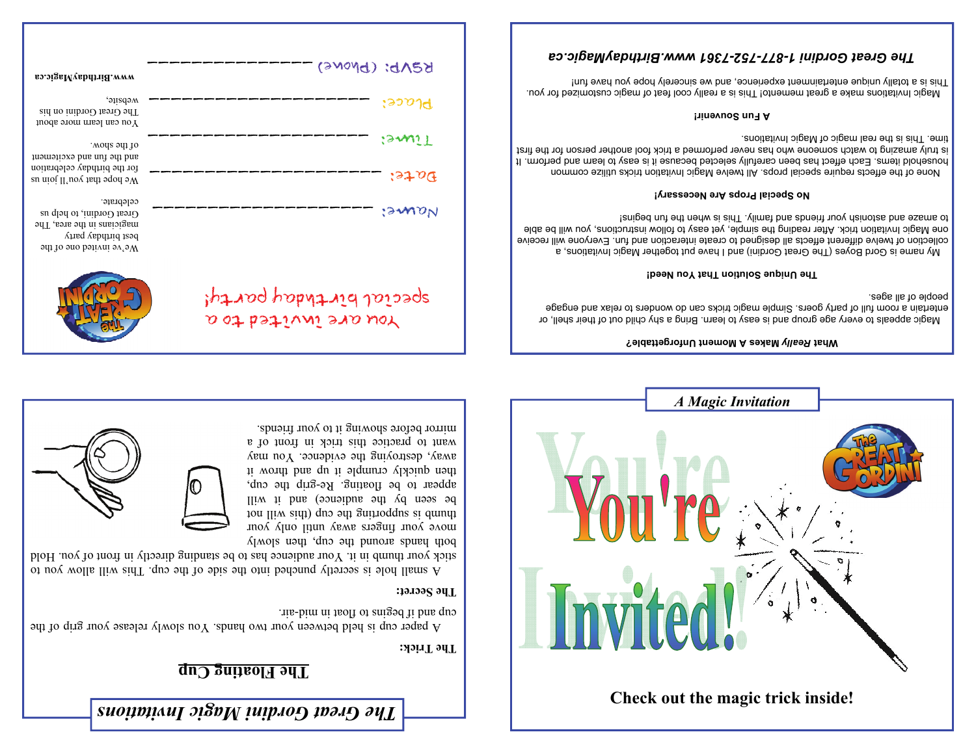# **The Floating Cup**

**The Trick:** 

A paper cup is held between your two hands. You slowly release your grip of the cup and if begins to float in mid-air.

## **The Secret:**

de of the cup. This will generally but cup. This simulation would be secreted in the simulation of  $\alpha$  in  $\alpha$ stick your thumb in it. Your audience has to be standing directly in front to you. Hold



both hands around the cup, then slowly move your fingers away until only your tou lliw sidt) quo edi guitoddus si dmutt be seen by the audience) and it will appear to be floating. Re-grip the cup, then quickly crumple it up and the up to word away, destroying the evidence. You may want to practice this rick in front of a mirror before showing it to your friends.

You are invited to a





Magic appeals to every age group and is easy to learn. Bring a shy child out of their shell, or entertain a room full of party goers. Simple magic tricks can do wonders to relax and engage people of all ages.

#### **The Unique Solution That You Need!**

 My name is Gord Boyes (The Great Gordini) and I have put together Magic Invitations, a collection of twelve different ethe abli designed to create interaction and fun. Everyone will receive one Magic Invitation trick. After reading the simple, yet easy to follow instructions, you will be able to amaze and astonish your friends and taming and is used in paginal

### **No Special Props Are Necessary!**

 None of the effects require special props. All twelve Magic Invitation tricks utilize common household items Each effect has deen carefully selected because it is easy to learn and perform. It is truly end too has never performed a trick for the fool and the form in the first is trick for the first is t angic This is the real magic of Magic Invitations.

#### **A Fun Souvenir!**

Adagic lusticous make a great memento This is a really cool feat of magic customized for you. This is a totally unique entertainment experience, and we sincerely hope you have fun!

| so.oigaMyabdriid.www                                                                                                     | REND: (Phone)           |
|--------------------------------------------------------------------------------------------------------------------------|-------------------------|
| website,<br>The Great Gordini on his<br>You can learn more about                                                         | १२२ ०१त                 |
| .wods 5dj 10<br>and the fun and excitement                                                                               | igaali l                |
| for the birthday celebration<br>su nioi II noy tsid 900 aW                                                               | $i$ st o $\Phi$         |
| celebrate.<br>Great Gordini, to help us<br>magicians in the area, The<br>best birthday party<br>We've invited one of the | :sunaN                  |
|                                                                                                                          | special birthday party! |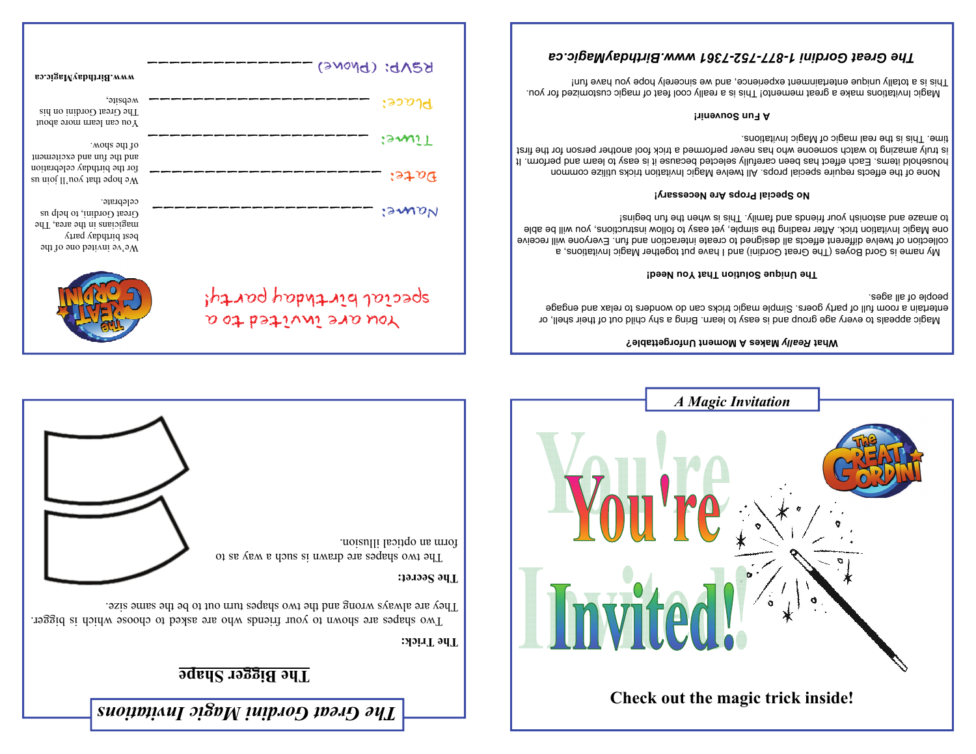## **The Bigger Shape**

## **The Trick:**

Two shapes are shown to your friends who are asked to choose which is bigger. Fhey are always wrong and the two shapes turn out to be the same size.

## **The Secret:**

The two shapes are drawn is such a way as to form an optical illusion.





### **Makes A Moment Unforgettable?** *Really* **What**

Magic appeals to every age group and is easy to learn. Bring a shy child out of their shell, or entertain a mom full of party goers. Simple magic tricks can do wonders to relax and engage people of all ages.

### **The Unique Solution That You Need!**

 My name is Gord Boyes (The Great Gordini) and I have put together Magic Invitations, a collection of twelve bethand and functional or the reste interaction and fun. Everyone will receive one Magic Invitation trick. After reading the simple, yet easy to follow instructions, you will be able to amaze and astonish your friends and taming and is used in paginal

### **No Special Props Are Necessary!**

 None of the effects require special props. All twelve Magic Invitation tricks utilize common household items Each effect has deen carefully selected because it is easy to learn and perform. It is truly end too has never performed a trick for the fool and the form in the first is trick for the first is t angic 11 and agic of Magic Invitations.

### **A Fun Souvenir!**

Adagic lusticous make a great memento This is a really cool feat of magic customized for you. This is a totally unique entertainment experience, and we sincerely hope you have fun!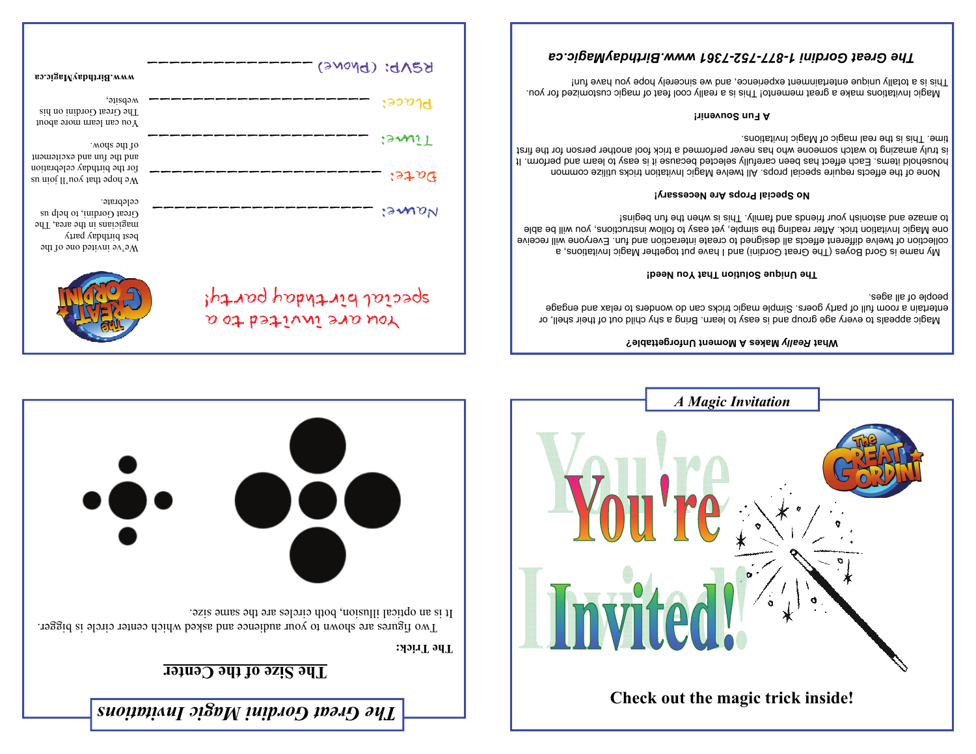

| вэ.эізвМувbптій. www                                                                                                          | KZND: (DNONE)                                   |
|-------------------------------------------------------------------------------------------------------------------------------|-------------------------------------------------|
| website,<br>The Great Gordini on his<br>You can learn more about                                                              | $:$ ၁၁ $v$ ી $\bf d$                            |
| .wods 5dj 10<br>and the fun and excitement                                                                                    | :amiT                                           |
| for the birthday celebration<br>su nioi II noy tsid 900 aV                                                                    | $i$ st o $\Phi$                                 |
| celebrate.<br>Great Gordini, to help us<br>magicians in the area, The<br>best birthday party<br>$\mu$ e ve invited one of the | <i>'sman</i>                                    |
|                                                                                                                               | special birthday party!<br>Nou are invited to a |

## **Makes A Moment Unforgettable?** *Really* **What**

Magic appeals to every age group and is easy to learn. Bring a shy child out of their shell, or entertain a room full of party goers. Simple magic tricks can do wonders to relax and engage people of all ages.

#### **The Unique Solution That You Need!**

 My name is Gord Boyes (The Great Gordini) and I have put together Magic Invitations, a collection of twelve different and seigned to create interaction and fun. Everyone will receive one Magic Invitation trick. After reading the simple, yet easy to follow instructions, you will be able teniged nut ent nedw ai aidT . vlimst bns abneitt nuov dainotas bns exams of

### **No Special Props Are Necessary!**

 None of the effects require special props. All twelve Magic Invitation tricks utilize common household items Each effect has deen carefully selected because it is easy to learn and perform. It is truly and not never performed a trick forms for the form for the find to watch the first is trick for the f angic 11 and agrees is the real magic of Magiority is the real manifology in the real magnetic magnetic magnet

### **A Fun Souvenir!**

Adagic lusticous make a great memento This is a really cool feat of magic customized for you. This is a totally unique entertainment experience, and we sincerely hope you have fun!